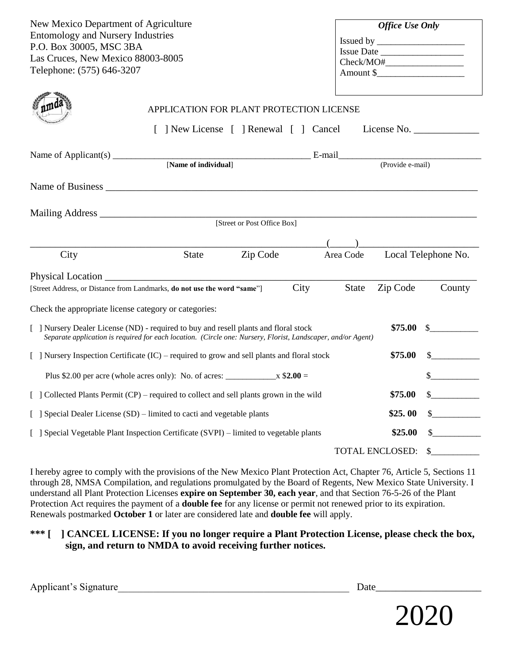| New Mexico Department of Agriculture<br><b>Entomology and Nursery Industries</b><br>P.O. Box 30005, MSC 3BA<br>Las Cruces, New Mexico 88003-8005<br>Telephone: (575) 646-3207                                   |                                                                                                |          |  | <b>Office Use Only</b><br>Check/MO# |                 |                     |
|-----------------------------------------------------------------------------------------------------------------------------------------------------------------------------------------------------------------|------------------------------------------------------------------------------------------------|----------|--|-------------------------------------|-----------------|---------------------|
|                                                                                                                                                                                                                 | APPLICATION FOR PLANT PROTECTION LICENSE<br>[ ] New License [ ] Renewal [ ] Cancel License No. |          |  |                                     |                 |                     |
| Name of Applicant(s) [Name of individual] E-mail E-mail (Provide e-mail)                                                                                                                                        |                                                                                                |          |  |                                     |                 |                     |
|                                                                                                                                                                                                                 |                                                                                                |          |  |                                     |                 |                     |
| [Street or Post Office Box]                                                                                                                                                                                     |                                                                                                |          |  |                                     |                 |                     |
|                                                                                                                                                                                                                 |                                                                                                |          |  |                                     |                 |                     |
| City                                                                                                                                                                                                            | State                                                                                          | Zip Code |  | Area Code                           |                 | Local Telephone No. |
| Zip Code<br>City<br>State<br>County<br>[Street Address, or Distance from Landmarks, do not use the word "same"]                                                                                                 |                                                                                                |          |  |                                     |                 |                     |
| Check the appropriate license category or categories:                                                                                                                                                           |                                                                                                |          |  |                                     |                 |                     |
| \$75.00<br>[ ] Nursery Dealer License (ND) - required to buy and resell plants and floral stock<br>Separate application is required for each location. (Circle one: Nursery, Florist, Landscaper, and/or Agent) |                                                                                                |          |  |                                     |                 |                     |
| \$75.00<br>[ ] Nursery Inspection Certificate (IC) – required to grow and sell plants and floral stock                                                                                                          |                                                                                                |          |  |                                     |                 |                     |
| Plus \$2.00 per acre (whole acres only): No. of acres: $\frac{\ }{2.00}$ =                                                                                                                                      |                                                                                                |          |  |                                     |                 |                     |
| [ ] Collected Plants Permit (CP) – required to collect and sell plants grown in the wild                                                                                                                        |                                                                                                |          |  |                                     | \$75.00         |                     |
| [ ] Special Dealer License (SD) – limited to cacti and vegetable plants                                                                                                                                         |                                                                                                |          |  |                                     | \$25.00         |                     |
| [ ] Special Vegetable Plant Inspection Certificate (SVPI) – limited to vegetable plants<br>\$25.00                                                                                                              |                                                                                                |          |  |                                     |                 |                     |
|                                                                                                                                                                                                                 |                                                                                                |          |  |                                     | TOTAL ENCLOSED: |                     |

I hereby agree to comply with the provisions of the New Mexico Plant Protection Act, Chapter 76, Article 5, Sections 11 through 28, NMSA Compilation, and regulations promulgated by the Board of Regents, New Mexico State University. I understand all Plant Protection Licenses **expire on September 30, each year**, and that Section 76-5-26 of the Plant Protection Act requires the payment of a **double fee** for any license or permit not renewed prior to its expiration. Renewals postmarked **October 1** or later are considered late and **double fee** will apply.

## **\*\*\* [ ] CANCEL LICENSE: If you no longer require a Plant Protection License, please check the box, sign, and return to NMDA to avoid receiving further notices.**

Applicant's Signature The Contract of the Contract of the Contract of the Contract of the Contract of the Contract of the Contract of the Contract of the Contract of the Contract of the Contract of the Contract of the Cont